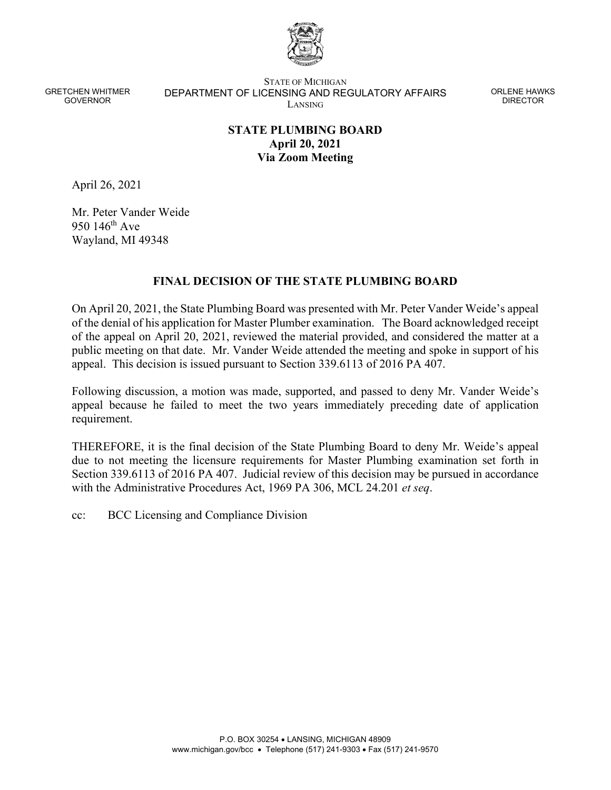

STATE OF MICHIGAN DEPARTMENT OF LICENSING AND REGULATORY AFFAIRS LANSING

ORLENE HAWKS DIRECTOR

# **STATE PLUMBING BOARD April 20, 2021 Via Zoom Meeting**

April 26, 2021

Mr. Peter Vander Weide 950  $146^{\text{th}}$  Ave Wayland, MI 49348

### **FINAL DECISION OF THE STATE PLUMBING BOARD**

On April 20, 2021, the State Plumbing Board was presented with Mr. Peter Vander Weide's appeal of the denial of his application for Master Plumber examination. The Board acknowledged receipt of the appeal on April 20, 2021, reviewed the material provided, and considered the matter at a public meeting on that date. Mr. Vander Weide attended the meeting and spoke in support of his appeal. This decision is issued pursuant to Section 339.6113 of 2016 PA 407.

Following discussion, a motion was made, supported, and passed to deny Mr. Vander Weide's appeal because he failed to meet the two years immediately preceding date of application requirement.

THEREFORE, it is the final decision of the State Plumbing Board to deny Mr. Weide's appeal due to not meeting the licensure requirements for Master Plumbing examination set forth in Section 339.6113 of 2016 PA 407. Judicial review of this decision may be pursued in accordance with the Administrative Procedures Act, 1969 PA 306, MCL 24.201 *et seq*.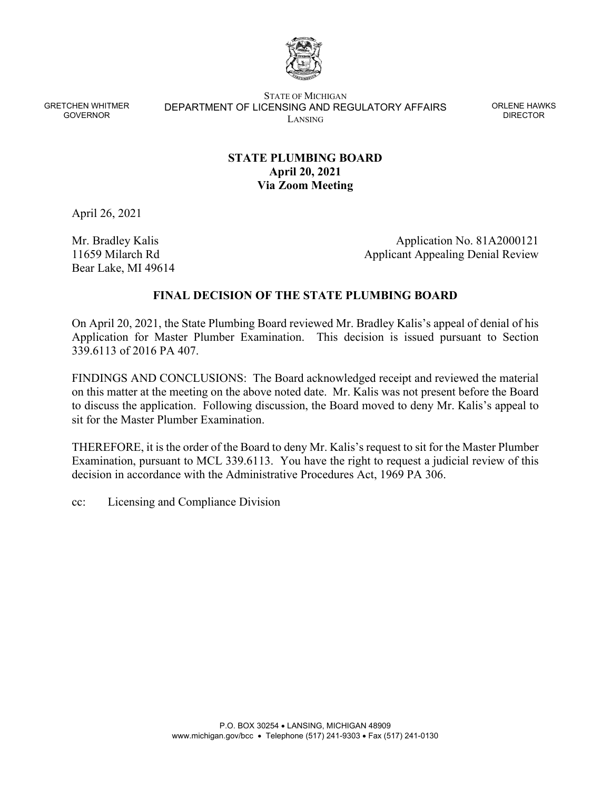

STATE OF MICHIGAN DEPARTMENT OF LICENSING AND REGULATORY AFFAIRS LANSING

ORLENE HAWKS DIRECTOR

# **STATE PLUMBING BOARD April 20, 2021 Via Zoom Meeting**

April 26, 2021

Mr. Bradley Kalis 11659 Milarch Rd Bear Lake, MI 49614

Application No. 81A2000121 Applicant Appealing Denial Review

### **FINAL DECISION OF THE STATE PLUMBING BOARD**

On April 20, 2021, the State Plumbing Board reviewed Mr. Bradley Kalis's appeal of denial of his Application for Master Plumber Examination. This decision is issued pursuant to Section 339.6113 of 2016 PA 407.

FINDINGS AND CONCLUSIONS: The Board acknowledged receipt and reviewed the material on this matter at the meeting on the above noted date. Mr. Kalis was not present before the Board to discuss the application. Following discussion, the Board moved to deny Mr. Kalis's appeal to sit for the Master Plumber Examination.

THEREFORE, it is the order of the Board to deny Mr. Kalis's request to sit for the Master Plumber Examination, pursuant to MCL 339.6113. You have the right to request a judicial review of this decision in accordance with the Administrative Procedures Act, 1969 PA 306.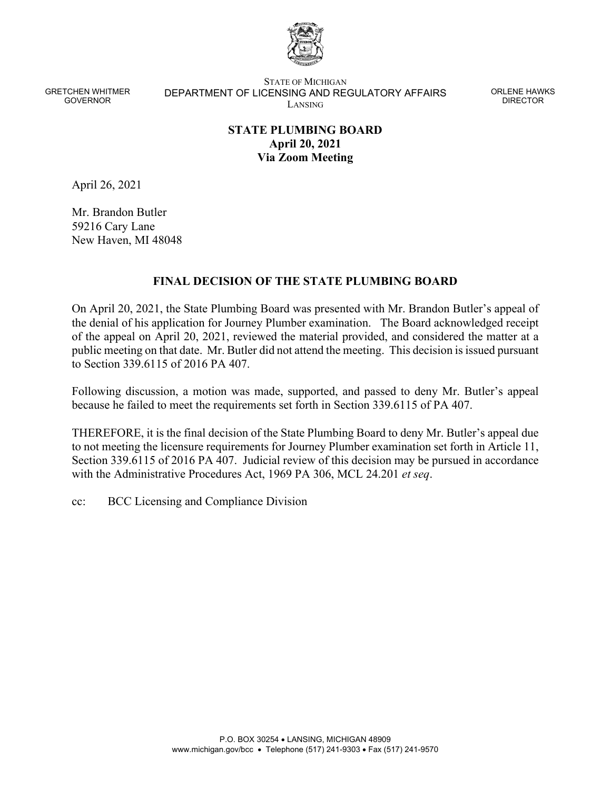

STATE OF MICHIGAN DEPARTMENT OF LICENSING AND REGULATORY AFFAIRS LANSING

ORLENE HAWKS DIRECTOR

# **STATE PLUMBING BOARD April 20, 2021 Via Zoom Meeting**

April 26, 2021

Mr. Brandon Butler 59216 Cary Lane New Haven, MI 48048

### **FINAL DECISION OF THE STATE PLUMBING BOARD**

On April 20, 2021, the State Plumbing Board was presented with Mr. Brandon Butler's appeal of the denial of his application for Journey Plumber examination. The Board acknowledged receipt of the appeal on April 20, 2021, reviewed the material provided, and considered the matter at a public meeting on that date. Mr. Butler did not attend the meeting. This decision is issued pursuant to Section 339.6115 of 2016 PA 407.

Following discussion, a motion was made, supported, and passed to deny Mr. Butler's appeal because he failed to meet the requirements set forth in Section 339.6115 of PA 407.

THEREFORE, it is the final decision of the State Plumbing Board to deny Mr. Butler's appeal due to not meeting the licensure requirements for Journey Plumber examination set forth in Article 11, Section 339.6115 of 2016 PA 407. Judicial review of this decision may be pursued in accordance with the Administrative Procedures Act, 1969 PA 306, MCL 24.201 *et seq*.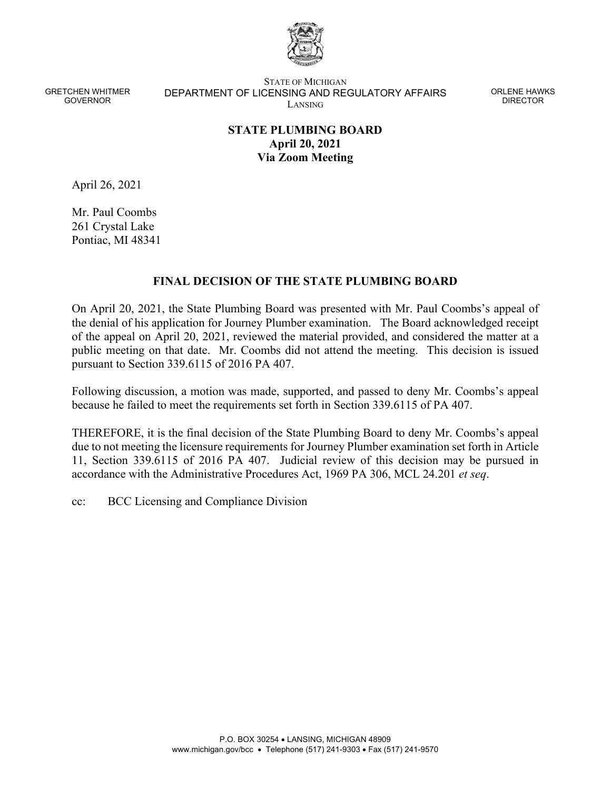

STATE OF MICHIGAN DEPARTMENT OF LICENSING AND REGULATORY AFFAIRS LANSING

ORLENE HAWKS DIRECTOR

# **STATE PLUMBING BOARD April 20, 2021 Via Zoom Meeting**

April 26, 2021

Mr. Paul Coombs 261 Crystal Lake Pontiac, MI 48341

### **FINAL DECISION OF THE STATE PLUMBING BOARD**

On April 20, 2021, the State Plumbing Board was presented with Mr. Paul Coombs's appeal of the denial of his application for Journey Plumber examination. The Board acknowledged receipt of the appeal on April 20, 2021, reviewed the material provided, and considered the matter at a public meeting on that date. Mr. Coombs did not attend the meeting. This decision is issued pursuant to Section 339.6115 of 2016 PA 407.

Following discussion, a motion was made, supported, and passed to deny Mr. Coombs's appeal because he failed to meet the requirements set forth in Section 339.6115 of PA 407.

THEREFORE, it is the final decision of the State Plumbing Board to deny Mr. Coombs's appeal due to not meeting the licensure requirements for Journey Plumber examination set forth in Article 11, Section 339.6115 of 2016 PA 407. Judicial review of this decision may be pursued in accordance with the Administrative Procedures Act, 1969 PA 306, MCL 24.201 *et seq*.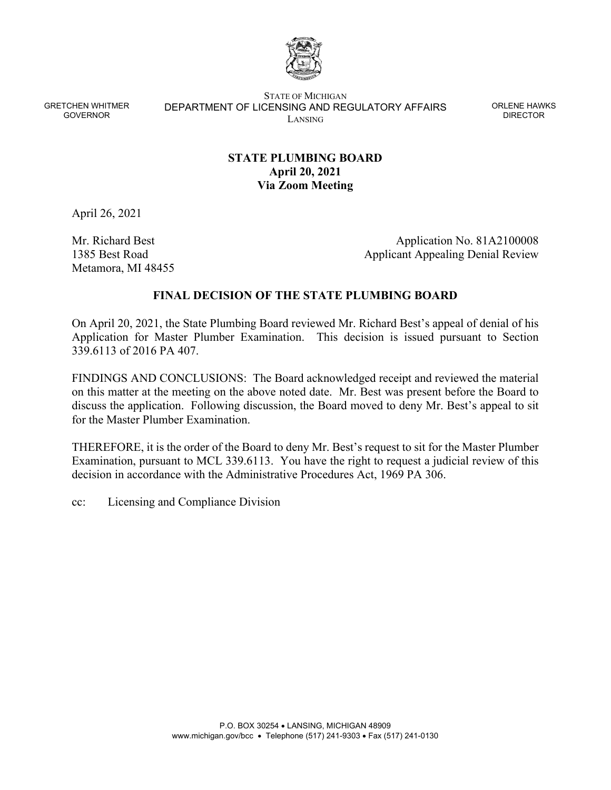

STATE OF MICHIGAN DEPARTMENT OF LICENSING AND REGULATORY AFFAIRS LANSING

ORLENE HAWKS DIRECTOR

# **STATE PLUMBING BOARD April 20, 2021 Via Zoom Meeting**

April 26, 2021

Mr. Richard Best 1385 Best Road Metamora, MI 48455

Application No. 81A2100008 Applicant Appealing Denial Review

### **FINAL DECISION OF THE STATE PLUMBING BOARD**

On April 20, 2021, the State Plumbing Board reviewed Mr. Richard Best's appeal of denial of his Application for Master Plumber Examination. This decision is issued pursuant to Section 339.6113 of 2016 PA 407.

FINDINGS AND CONCLUSIONS: The Board acknowledged receipt and reviewed the material on this matter at the meeting on the above noted date. Mr. Best was present before the Board to discuss the application. Following discussion, the Board moved to deny Mr. Best's appeal to sit for the Master Plumber Examination.

THEREFORE, it is the order of the Board to deny Mr. Best's request to sit for the Master Plumber Examination, pursuant to MCL 339.6113. You have the right to request a judicial review of this decision in accordance with the Administrative Procedures Act, 1969 PA 306.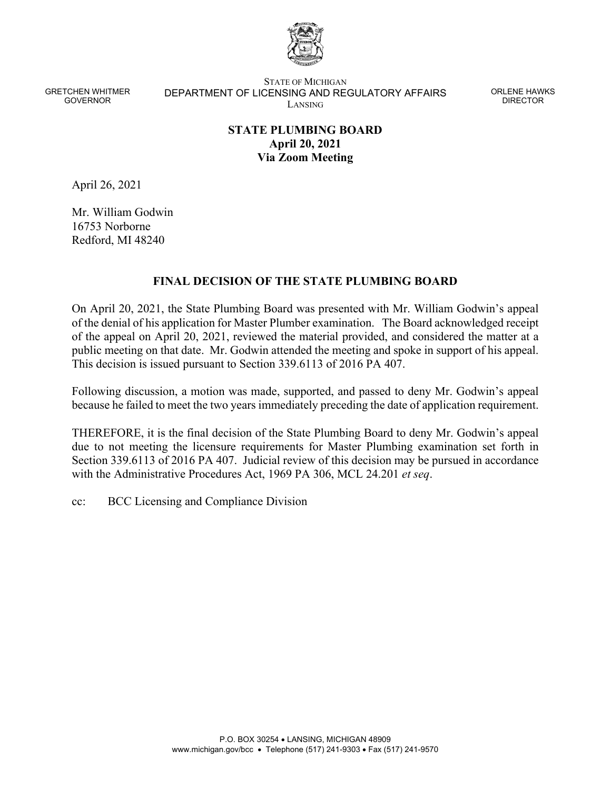

STATE OF MICHIGAN DEPARTMENT OF LICENSING AND REGULATORY AFFAIRS LANSING

ORLENE HAWKS DIRECTOR

# **STATE PLUMBING BOARD April 20, 2021 Via Zoom Meeting**

April 26, 2021

Mr. William Godwin 16753 Norborne Redford, MI 48240

### **FINAL DECISION OF THE STATE PLUMBING BOARD**

On April 20, 2021, the State Plumbing Board was presented with Mr. William Godwin's appeal of the denial of his application for Master Plumber examination. The Board acknowledged receipt of the appeal on April 20, 2021, reviewed the material provided, and considered the matter at a public meeting on that date. Mr. Godwin attended the meeting and spoke in support of his appeal. This decision is issued pursuant to Section 339.6113 of 2016 PA 407.

Following discussion, a motion was made, supported, and passed to deny Mr. Godwin's appeal because he failed to meet the two years immediately preceding the date of application requirement.

THEREFORE, it is the final decision of the State Plumbing Board to deny Mr. Godwin's appeal due to not meeting the licensure requirements for Master Plumbing examination set forth in Section 339.6113 of 2016 PA 407. Judicial review of this decision may be pursued in accordance with the Administrative Procedures Act, 1969 PA 306, MCL 24.201 *et seq*.